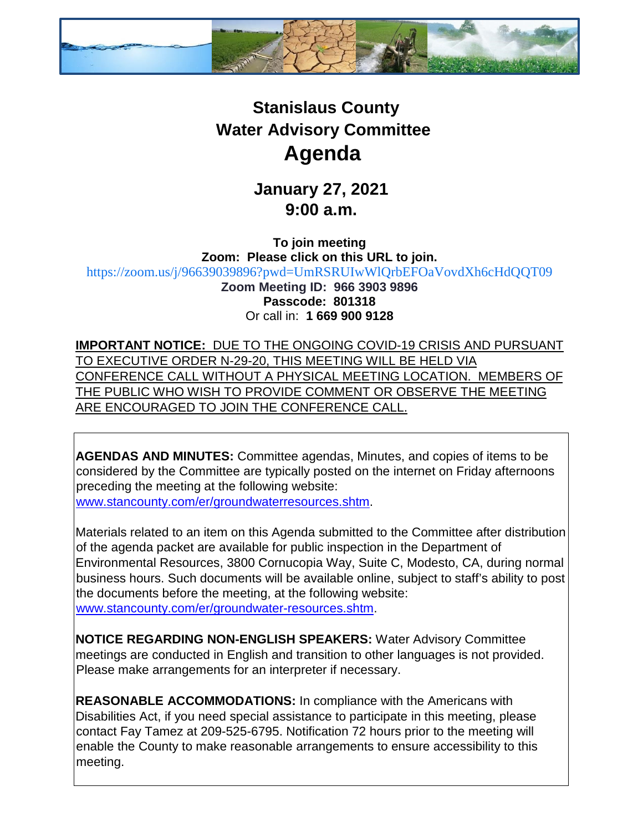

## **Stanislaus County Water Advisory Committee Agenda**

**January 27, 2021 9:00 a.m.** 

**To join meeting Zoom: Please click on this URL to join.** <https://zoom.us/j/96639039896?pwd=UmRSRUIwWlQrbEFOaVovdXh6cHdQQT09> **Zoom Meeting ID: 966 3903 9896 Passcode: 801318** Or call in: **1 669 900 9128**

**IMPORTANT NOTICE:** DUE TO THE ONGOING COVID-19 CRISIS AND PURSUANT TO EXECUTIVE ORDER N-29-20, THIS MEETING WILL BE HELD VIA CONFERENCE CALL WITHOUT A PHYSICAL MEETING LOCATION. MEMBERS OF THE PUBLIC WHO WISH TO PROVIDE COMMENT OR OBSERVE THE MEETING ARE ENCOURAGED TO JOIN THE CONFERENCE CALL.

**AGENDAS AND MINUTES:** Committee agendas, Minutes, and copies of items to be considered by the Committee are typically posted on the internet on Friday afternoons preceding the meeting at the following website: [www.stancounty.com/er/groundwaterresources.shtm.](http://www.stancounty.com/er/groundwater-resources.shtm) 

Materials related to an item on this Agenda submitted to the Committee after distribution of the agenda packet are available for public inspection in the Department of Environmental Resources, 3800 Cornucopia Way, Suite C, Modesto, CA, during normal business hours. Such documents will be available online, subject to staff's ability to post the documents before the meeting, at the following website: [www.stancounty.com/er/groundwater-resources.shtm.](http://www.stancounty.com/er/groundwater-resources.shtm) 

**NOTICE REGARDING NON-ENGLISH SPEAKERS:** Water Advisory Committee meetings are conducted in English and transition to other languages is not provided. Please make arrangements for an interpreter if necessary.

**REASONABLE ACCOMMODATIONS:** In compliance with the Americans with Disabilities Act, if you need special assistance to participate in this meeting, please contact Fay Tamez at 209-525-6795. Notification 72 hours prior to the meeting will enable the County to make reasonable arrangements to ensure accessibility to this meeting.